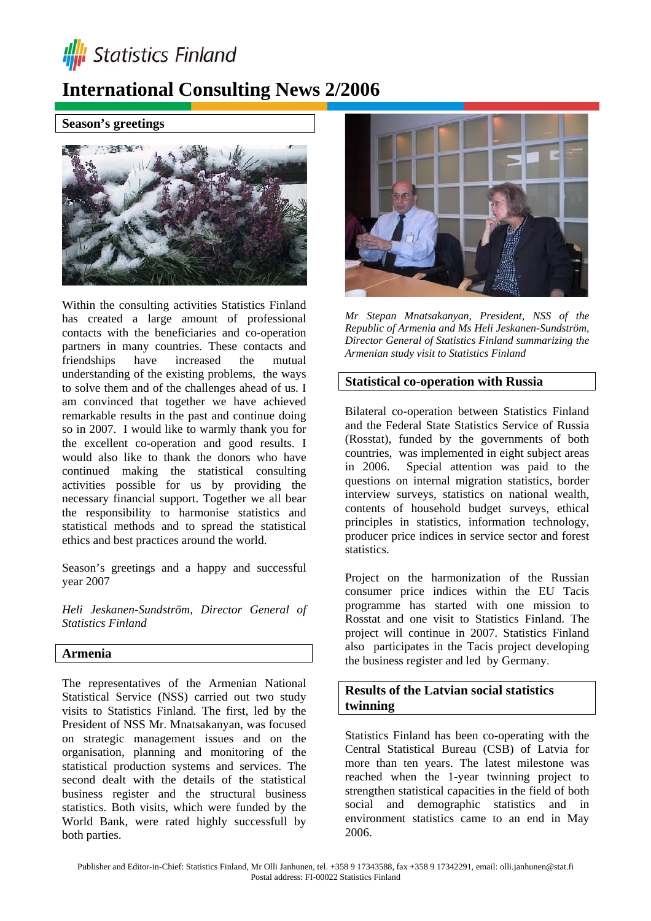

# **International Consulting News 2/2006**

### **Season's greetings**



Within the consulting activities Statistics Finland has created a large amount of professional contacts with the beneficiaries and co-operation partners in many countries. These contacts and friendships have increased the mutual understanding of the existing problems, the ways to solve them and of the challenges ahead of us. I am convinced that together we have achieved remarkable results in the past and continue doing so in 2007. I would like to warmly thank you for the excellent co-operation and good results. I would also like to thank the donors who have continued making the statistical consulting activities possible for us by providing the necessary financial support. Together we all bear the responsibility to harmonise statistics and statistical methods and to spread the statistical ethics and best practices around the world.

Season's greetings and a happy and successful year 2007

*Heli Jeskanen-Sundström, Director General of Statistics Finland* 

# **Armenia**

The representatives of the Armenian National Statistical Service (NSS) carried out two study visits to Statistics Finland. The first, led by the President of NSS Mr. Mnatsakanyan, was focused on strategic management issues and on the organisation, planning and monitoring of the statistical production systems and services. The second dealt with the details of the statistical business register and the structural business statistics. Both visits, which were funded by the World Bank, were rated highly successfull by both parties.



*Mr Stepan Mnatsakanyan, President, NSS of the Republic of Armenia and Ms Heli Jeskanen-Sundström, Director General of Statistics Finland summarizing the Armenian study visit to Statistics Finland*

#### **Statistical co-operation with Russia**

Bilateral co-operation between Statistics Finland and the Federal State Statistics Service of Russia (Rosstat), funded by the governments of both countries, was implemented in eight subject areas in 2006. Special attention was paid to the questions on internal migration statistics, border interview surveys, statistics on national wealth, contents of household budget surveys, ethical principles in statistics, information technology, producer price indices in service sector and forest statistics.

Project on the harmonization of the Russian consumer price indices within the EU Tacis programme has started with one mission to Rosstat and one visit to Statistics Finland. The project will continue in 2007. Statistics Finland also participates in the Tacis project developing the business register and led by Germany.

## **Results of the Latvian social statistics twinning**

Statistics Finland has been co-operating with the Central Statistical Bureau (CSB) of Latvia for more than ten years. The latest milestone was reached when the 1-year twinning project to strengthen statistical capacities in the field of both social and demographic statistics and in environment statistics came to an end in May 2006.